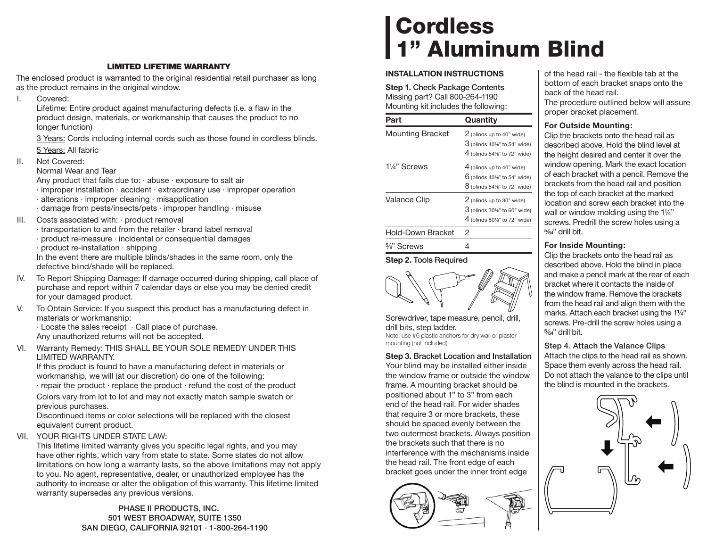# **LIMITED LIFETIME WARRANTY**

The enclosed product is warranted to the original residential retail purchaser as long as the product remains in the original window.

I. Covered:

Lifetime: Entire product against manufacturing defects (i.e. a flaw in the product design, materials, or workmanship that causes the product to no longer function)

 3 Years: Cords including internal cords such as those found in cordless blinds. 5 Years: All fabric

II. Not Covered:

Normal Wear and Tear

Any product that fails due to:  $\cdot$  abuse  $\cdot$  exposure to salt air

- · improper installation · accident · extraordinary use · improper operation
- · alterations · improper cleaning · misapplication
- · damage from pests/insects/pets · improper handling · misuse
- III. Costs associated with: · product removal
	- · transportation to and from the retailer · brand label removal
	- · product re-measure · incidental or consequential damages
	- · product re-installation · shipping

In the event there are multiple blinds/shades in the same room, only the defective blind/shade will be replaced.

- IV. To Report Shipping Damage: If damage occurred during shipping, call place of purchase and report within 7 calendar days or else you may be denied credit for your damaged product.
- V. To Obtain Service: If you suspect this product has a manufacturing defect in materials or workmanship:

· Locate the sales receipt · Call place of purchase. Any unauthorized returns will not be accepted.

VI. Warranty Remedy: THIS SHALL BE YOUR SOLE REMEDY UNDER THIS LIMITED WARRANTY.

If this product is found to have a manufacturing defect in materials or workmanship, we will (at our discretion) do one of the following:

· repair the product · replace the product · refund the cost of the product Colors vary from lot to lot and may not exactly match sample swatch or

previous purchases.

Discontinued items or color selections will be replaced with the closest equivalent current product.

VII. YOUR RIGHTS UNDER STATE LAW:

This lifetime limited warranty gives you specific legal rights, and you may have other rights, which vary from state to state. Some states do not allow limitations on how long a warranty lasts, so the above limitations may not apply to you. No agent, representative, dealer, or unauthorized employee has the authority to increase or alter the obligation of this warranty. This lifetime limited warranty supersedes any previous versions.

> **PHASE II PRODUCTS, INC. 501 WEST BROADWAY, SUITE 1350 SAN DIEGO, CALIFORNIA 92101 · 1-800-264-1190**

# **Cordless 1" Aluminum Blind**

## **INSTALLATION INSTRUCTIONS**

**Step 1. Check Package Contents** Missing part? Call 800-264-1190 Mounting kit includes the following:

| Part                     | Quantity                                                                                                                     |
|--------------------------|------------------------------------------------------------------------------------------------------------------------------|
| <b>Mounting Bracket</b>  | 2 (blinds up to 40" wide)<br>$3$ (blinds 40%" to 54" wide)                                                                   |
| 1¼" Screws               | $4$ (blinds 54%" to 72" wide)<br>4 (blinds up to 40" wide)<br>$6$ (blinds 40%" to 54" wide)<br>$8$ (blinds 54%" to 72" wide) |
| <b>Valance Clip</b>      | 2 (blinds up to 30" wide)<br>$3$ (blinds 30%" to 60" wide)<br>4 (blinds 60%" to 72" wide)                                    |
| <b>Hold-Down Bracket</b> | 2                                                                                                                            |
| $\frac{5}{8}$ " Screws   |                                                                                                                              |

**Step 2. Tools Required**

Screwdriver, tape measure, pencil, drill, drill bits, step ladder. Note: use #6 plastic anchors for dry wall or plaster mounting (not included)

**Step 3. Bracket Location and Installation** Your blind may be installed either inside the window frame or outside the window frame. A mounting bracket should be positioned about 1" to 3" from each end of the head rail. For wider shades that require 3 or more brackets, these should be spaced evenly between the two outermost brackets. Always position the brackets such that there is no interference with the mechanisms inside the head rail. The front edge of each bracket goes under the inner front edge



of the head rail - the flexible tab at the bottom of each bracket snaps onto the back of the head rail. The procedure outlined below will assure proper bracket placement.

## **For Outside Mounting:**

Clip the brackets onto the head rail as described above. Hold the blind level at the height desired and center it over the window opening. Mark the exact location of each bracket with a pencil. Remove the brackets from the head rail and position the top of each bracket at the marked location and screw each bracket into the wall or window molding using the 11/4" screws. Predrill the screw holes using a  $5/64"$  drill bit.

# **For Inside Mounting:**

Clip the brackets onto the head rail as described above. Hold the blind in place and make a pencil mark at the rear of each bracket where it contacts the inside of the window frame. Remove the brackets from the head rail and align them with the marks. Attach each bracket using the 1¼" screws. Pre-drill the screw holes using a  $5/64"$  drill bit.

**Step 4. Attach the Valance Clips**

Attach the clips to the head rail as shown. Space them evenly across the head rail. Do not attach the valance to the clips until the blind is mounted in the brackets.